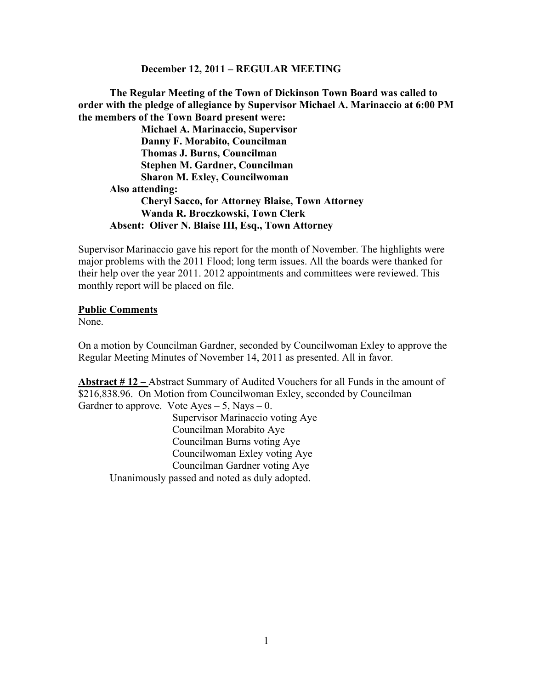#### **December 12, 2011 – REGULAR MEETING**

**The Regular Meeting of the Town of Dickinson Town Board was called to order with the pledge of allegiance by Supervisor Michael A. Marinaccio at 6:00 PM the members of the Town Board present were:**

**Michael A. Marinaccio, Supervisor Danny F. Morabito, Councilman Thomas J. Burns, Councilman Stephen M. Gardner, Councilman Sharon M. Exley, Councilwoman Also attending: Cheryl Sacco, for Attorney Blaise, Town Attorney Wanda R. Broczkowski, Town Clerk Absent: Oliver N. Blaise III, Esq., Town Attorney**

Supervisor Marinaccio gave his report for the month of November. The highlights were major problems with the 2011 Flood; long term issues. All the boards were thanked for their help over the year 2011. 2012 appointments and committees were reviewed. This monthly report will be placed on file.

#### **Public Comments**

None.

On a motion by Councilman Gardner, seconded by Councilwoman Exley to approve the Regular Meeting Minutes of November 14, 2011 as presented. All in favor.

**Abstract # 12 –** Abstract Summary of Audited Vouchers for all Funds in the amount of \$216,838.96. On Motion from Councilwoman Exley, seconded by Councilman Gardner to approve. Vote  $Ayes - 5$ , Nays  $- 0$ . Supervisor Marinaccio voting Aye Councilman Morabito Aye Councilman Burns voting Aye Councilwoman Exley voting Aye Councilman Gardner voting Aye Unanimously passed and noted as duly adopted.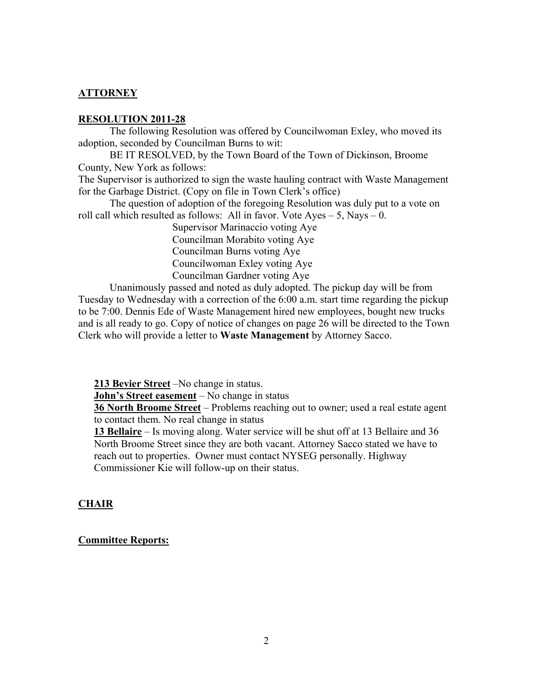# **ATTORNEY**

## **RESOLUTION 2011-28**

The following Resolution was offered by Councilwoman Exley, who moved its adoption, seconded by Councilman Burns to wit:

BE IT RESOLVED, by the Town Board of the Town of Dickinson, Broome County, New York as follows:

The Supervisor is authorized to sign the waste hauling contract with Waste Management for the Garbage District. (Copy on file in Town Clerk's office)

The question of adoption of the foregoing Resolution was duly put to a vote on roll call which resulted as follows: All in favor. Vote  $Ayes - 5$ , Nays  $- 0$ .

> Supervisor Marinaccio voting Aye Councilman Morabito voting Aye Councilman Burns voting Aye Councilwoman Exley voting Aye Councilman Gardner voting Aye

Unanimously passed and noted as duly adopted. The pickup day will be from Tuesday to Wednesday with a correction of the 6:00 a.m. start time regarding the pickup to be 7:00. Dennis Ede of Waste Management hired new employees, bought new trucks and is all ready to go. Copy of notice of changes on page 26 will be directed to the Town Clerk who will provide a letter to **Waste Management** by Attorney Sacco.

**213 Bevier Street** –No change in status.

**John's Street easement** – No change in status

**36 North Broome Street** – Problems reaching out to owner; used a real estate agent to contact them. No real change in status

**13 Bellaire** – Is moving along. Water service will be shut off at 13 Bellaire and 36 North Broome Street since they are both vacant. Attorney Sacco stated we have to reach out to properties. Owner must contact NYSEG personally. Highway Commissioner Kie will follow-up on their status.

# **CHAIR**

## **Committee Reports:**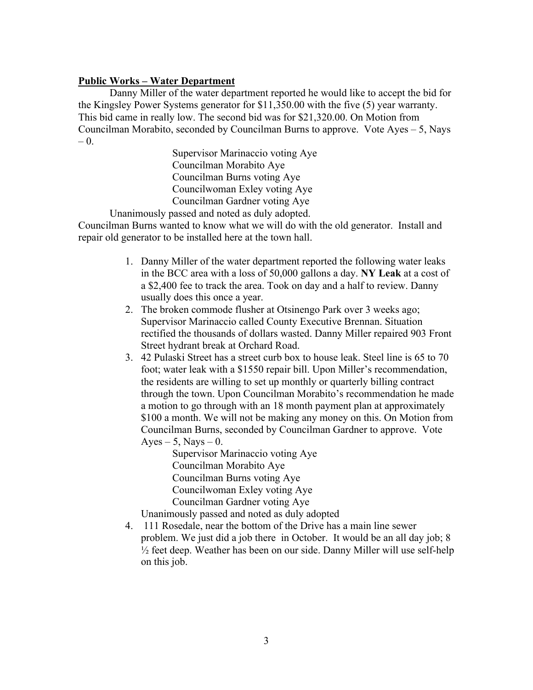## **Public Works – Water Department**

Danny Miller of the water department reported he would like to accept the bid for the Kingsley Power Systems generator for \$11,350.00 with the five (5) year warranty. This bid came in really low. The second bid was for \$21,320.00. On Motion from Councilman Morabito, seconded by Councilman Burns to approve. Vote  $Ayes - 5$ , Nays – 0.

> Supervisor Marinaccio voting Aye Councilman Morabito Aye Councilman Burns voting Aye Councilwoman Exley voting Aye Councilman Gardner voting Aye

Unanimously passed and noted as duly adopted. Councilman Burns wanted to know what we will do with the old generator. Install and repair old generator to be installed here at the town hall.

- 1. Danny Miller of the water department reported the following water leaks in the BCC area with a loss of 50,000 gallons a day. **NY Leak** at a cost of a \$2,400 fee to track the area. Took on day and a half to review. Danny usually does this once a year.
- 2. The broken commode flusher at Otsinengo Park over 3 weeks ago; Supervisor Marinaccio called County Executive Brennan. Situation rectified the thousands of dollars wasted. Danny Miller repaired 903 Front Street hydrant break at Orchard Road.
- 3. 42 Pulaski Street has a street curb box to house leak. Steel line is 65 to 70 foot; water leak with a \$1550 repair bill. Upon Miller's recommendation, the residents are willing to set up monthly or quarterly billing contract through the town. Upon Councilman Morabito's recommendation he made a motion to go through with an 18 month payment plan at approximately \$100 a month. We will not be making any money on this. On Motion from Councilman Burns, seconded by Councilman Gardner to approve. Vote Ayes – 5, Nays – 0.

Supervisor Marinaccio voting Aye Councilman Morabito Aye Councilman Burns voting Aye Councilwoman Exley voting Aye Councilman Gardner voting Aye

Unanimously passed and noted as duly adopted

4. 111 Rosedale, near the bottom of the Drive has a main line sewer problem. We just did a job there in October. It would be an all day job; 8 ½ feet deep. Weather has been on our side. Danny Miller will use self-help on this job.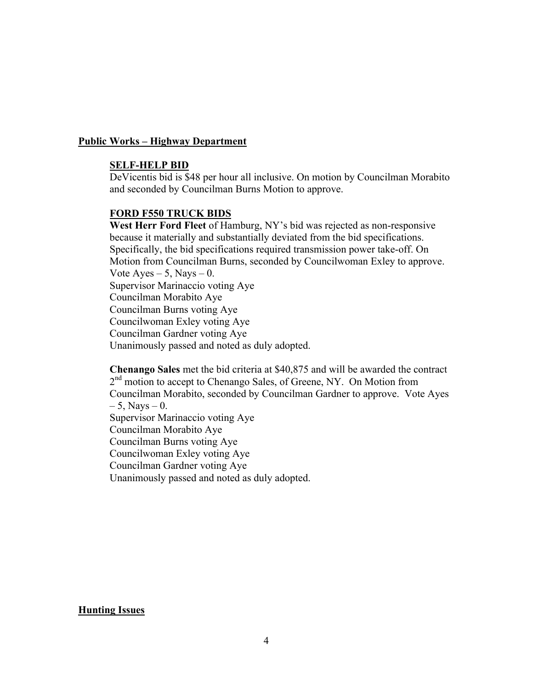### **Public Works – Highway Department**

#### **SELF-HELP BID**

DeVicentis bid is \$48 per hour all inclusive. On motion by Councilman Morabito and seconded by Councilman Burns Motion to approve.

#### **FORD F550 TRUCK BIDS**

**West Herr Ford Fleet** of Hamburg, NY's bid was rejected as non-responsive because it materially and substantially deviated from the bid specifications. Specifically, the bid specifications required transmission power take-off. On Motion from Councilman Burns, seconded by Councilwoman Exley to approve. Vote Ayes  $-5$ , Nays  $-0$ . Supervisor Marinaccio voting Aye Councilman Morabito Aye Councilman Burns voting Aye Councilwoman Exley voting Aye Councilman Gardner voting Aye Unanimously passed and noted as duly adopted.

**Chenango Sales** met the bid criteria at \$40,875 and will be awarded the contract  $2<sup>nd</sup>$  motion to accept to Chenango Sales, of Greene, NY. On Motion from Councilman Morabito, seconded by Councilman Gardner to approve. Vote Ayes  $-5$ , Nays  $-0$ . Supervisor Marinaccio voting Aye Councilman Morabito Aye Councilman Burns voting Aye Councilwoman Exley voting Aye Councilman Gardner voting Aye Unanimously passed and noted as duly adopted.

### **Hunting Issues**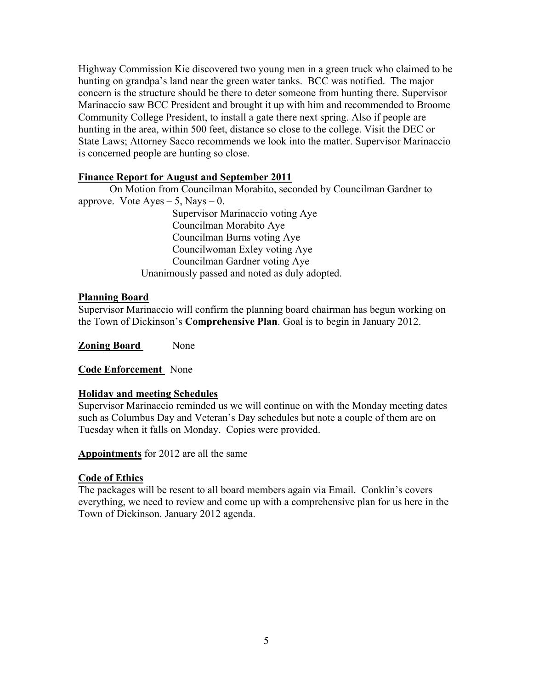Highway Commission Kie discovered two young men in a green truck who claimed to be hunting on grandpa's land near the green water tanks. BCC was notified. The major concern is the structure should be there to deter someone from hunting there. Supervisor Marinaccio saw BCC President and brought it up with him and recommended to Broome Community College President, to install a gate there next spring. Also if people are hunting in the area, within 500 feet, distance so close to the college. Visit the DEC or State Laws; Attorney Sacco recommends we look into the matter. Supervisor Marinaccio is concerned people are hunting so close.

# **Finance Report for August and September 2011**

On Motion from Councilman Morabito, seconded by Councilman Gardner to approve. Vote  $Ayes - 5$ , Nays  $- 0$ .

Supervisor Marinaccio voting Aye Councilman Morabito Aye Councilman Burns voting Aye Councilwoman Exley voting Aye Councilman Gardner voting Aye Unanimously passed and noted as duly adopted.

# **Planning Board**

Supervisor Marinaccio will confirm the planning board chairman has begun working on the Town of Dickinson's **Comprehensive Plan**. Goal is to begin in January 2012.

**Zoning Board** None

**Code Enforcement** None

# **Holiday and meeting Schedules**

Supervisor Marinaccio reminded us we will continue on with the Monday meeting dates such as Columbus Day and Veteran's Day schedules but note a couple of them are on Tuesday when it falls on Monday. Copies were provided.

**Appointments** for 2012 are all the same

# **Code of Ethics**

The packages will be resent to all board members again via Email. Conklin's covers everything, we need to review and come up with a comprehensive plan for us here in the Town of Dickinson. January 2012 agenda.